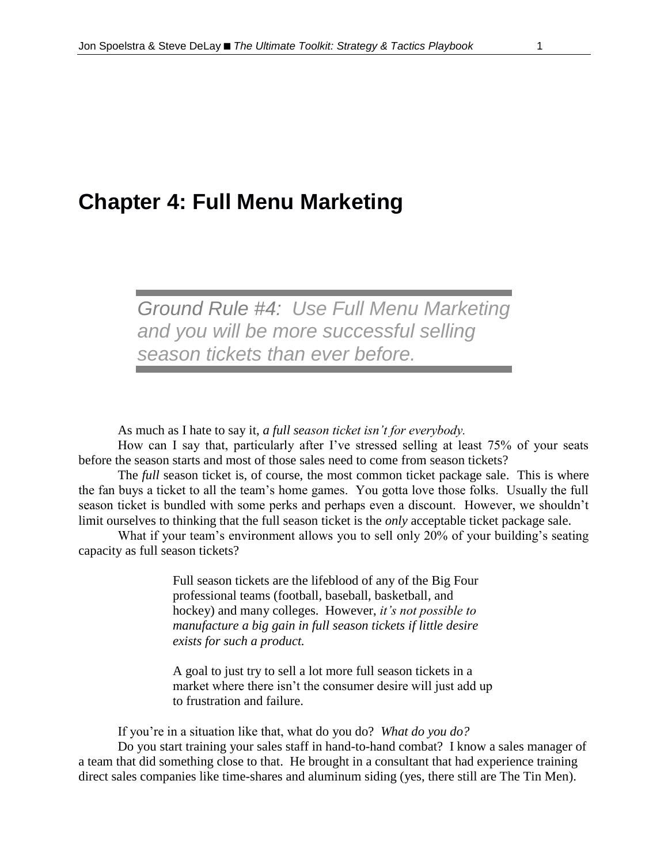# **Chapter 4: Full Menu Marketing**

# *Ground Rule #4: Use Full Menu Marketing and you will be more successful selling season tickets than ever before.*

As much as I hate to say it, *a full season ticket isn't for everybody.*

How can I say that, particularly after I've stressed selling at least 75% of your seats before the season starts and most of those sales need to come from season tickets?

The *full* season ticket is, of course, the most common ticket package sale. This is where the fan buys a ticket to all the team's home games. You gotta love those folks. Usually the full season ticket is bundled with some perks and perhaps even a discount. However, we shouldn't limit ourselves to thinking that the full season ticket is the *only* acceptable ticket package sale.

What if your team's environment allows you to sell only 20% of your building's seating capacity as full season tickets?

> Full season tickets are the lifeblood of any of the Big Four professional teams (football, baseball, basketball, and hockey) and many colleges. However, *it's not possible to manufacture a big gain in full season tickets if little desire exists for such a product.*

A goal to just try to sell a lot more full season tickets in a market where there isn't the consumer desire will just add up to frustration and failure.

If you're in a situation like that, what do you do? *What do you do?*

Do you start training your sales staff in hand-to-hand combat? I know a sales manager of a team that did something close to that. He brought in a consultant that had experience training direct sales companies like time-shares and aluminum siding (yes, there still are The Tin Men).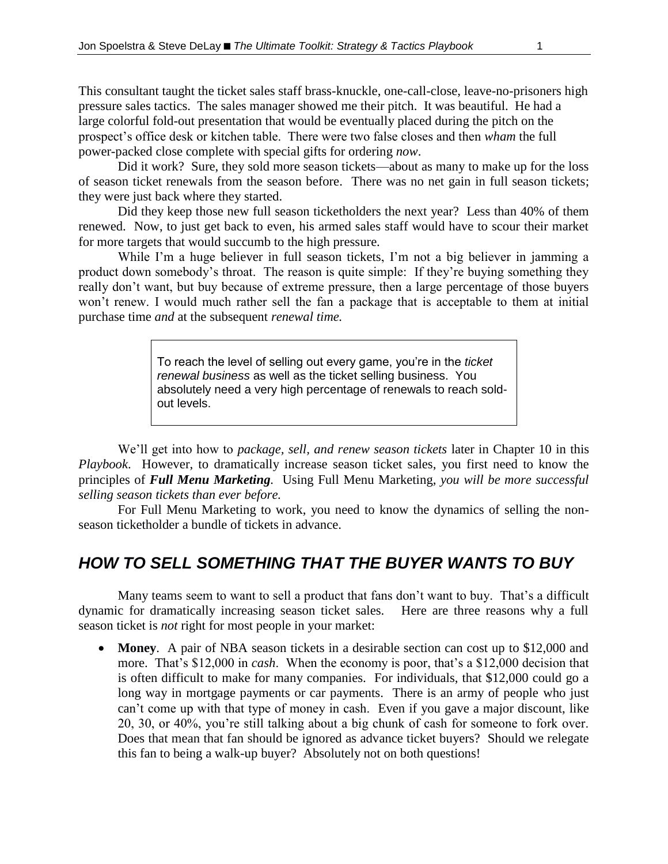This consultant taught the ticket sales staff brass-knuckle, one-call-close, leave-no-prisoners high pressure sales tactics. The sales manager showed me their pitch. It was beautiful. He had a large colorful fold-out presentation that would be eventually placed during the pitch on the prospect's office desk or kitchen table. There were two false closes and then *wham* the full power-packed close complete with special gifts for ordering *now*.

Did it work? Sure, they sold more season tickets—about as many to make up for the loss of season ticket renewals from the season before. There was no net gain in full season tickets; they were just back where they started.

Did they keep those new full season ticketholders the next year? Less than 40% of them renewed. Now, to just get back to even, his armed sales staff would have to scour their market for more targets that would succumb to the high pressure.

While I'm a huge believer in full season tickets, I'm not a big believer in jamming a product down somebody's throat. The reason is quite simple: If they're buying something they really don't want, but buy because of extreme pressure, then a large percentage of those buyers won't renew. I would much rather sell the fan a package that is acceptable to them at initial purchase time *and* at the subsequent *renewal time.*

> To reach the level of selling out every game, you're in the *ticket renewal business* as well as the ticket selling business. You absolutely need a very high percentage of renewals to reach soldout levels.

We'll get into how to *package, sell, and renew season tickets* later in Chapter 10 in this *Playbook*. However, to dramatically increase season ticket sales, you first need to know the principles of *Full Menu Marketing.* Using Full Menu Marketing, *you will be more successful selling season tickets than ever before.*

For Full Menu Marketing to work, you need to know the dynamics of selling the nonseason ticketholder a bundle of tickets in advance.

## *HOW TO SELL SOMETHING THAT THE BUYER WANTS TO BUY*

Many teams seem to want to sell a product that fans don't want to buy. That's a difficult dynamic for dramatically increasing season ticket sales. Here are three reasons why a full season ticket is *not* right for most people in your market:

 **Money**. A pair of NBA season tickets in a desirable section can cost up to \$12,000 and more. That's \$12,000 in *cash*. When the economy is poor, that's a \$12,000 decision that is often difficult to make for many companies. For individuals, that \$12,000 could go a long way in mortgage payments or car payments. There is an army of people who just can't come up with that type of money in cash. Even if you gave a major discount, like 20, 30, or 40%, you're still talking about a big chunk of cash for someone to fork over. Does that mean that fan should be ignored as advance ticket buyers? Should we relegate this fan to being a walk-up buyer? Absolutely not on both questions!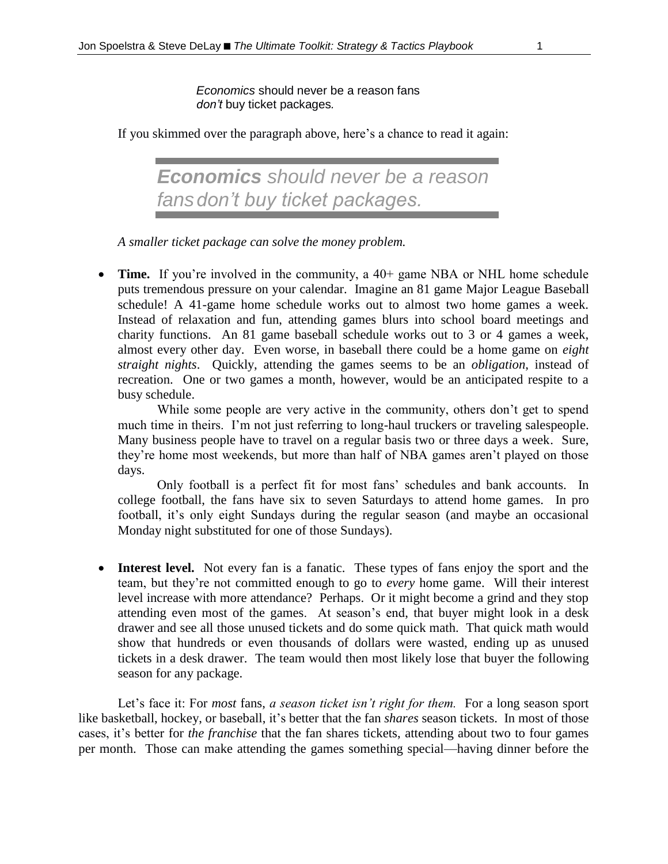*Economics* should never be a reason fans *don't* buy ticket packages*.*

If you skimmed over the paragraph above, here's a chance to read it again:

*Economics should never be a reason fansdon't buy ticket packages.*

*A smaller ticket package can solve the money problem.*

• **Time.** If you're involved in the community, a 40+ game NBA or NHL home schedule puts tremendous pressure on your calendar. Imagine an 81 game Major League Baseball schedule! A 41-game home schedule works out to almost two home games a week. Instead of relaxation and fun, attending games blurs into school board meetings and charity functions. An 81 game baseball schedule works out to 3 or 4 games a week, almost every other day. Even worse, in baseball there could be a home game on *eight straight nights*. Quickly, attending the games seems to be an *obligation*, instead of recreation. One or two games a month, however, would be an anticipated respite to a busy schedule.

While some people are very active in the community, others don't get to spend much time in theirs. I'm not just referring to long-haul truckers or traveling salespeople. Many business people have to travel on a regular basis two or three days a week. Sure, they're home most weekends, but more than half of NBA games aren't played on those days.

Only football is a perfect fit for most fans' schedules and bank accounts. In college football, the fans have six to seven Saturdays to attend home games. In pro football, it's only eight Sundays during the regular season (and maybe an occasional Monday night substituted for one of those Sundays).

• **Interest level.** Not every fan is a fanatic. These types of fans enjoy the sport and the team, but they're not committed enough to go to *every* home game. Will their interest level increase with more attendance? Perhaps. Or it might become a grind and they stop attending even most of the games. At season's end, that buyer might look in a desk drawer and see all those unused tickets and do some quick math. That quick math would show that hundreds or even thousands of dollars were wasted, ending up as unused tickets in a desk drawer. The team would then most likely lose that buyer the following season for any package.

Let's face it: For *most* fans, *a season ticket isn't right for them.* For a long season sport like basketball, hockey, or baseball, it's better that the fan *shares* season tickets. In most of those cases, it's better for *the franchise* that the fan shares tickets, attending about two to four games per month. Those can make attending the games something special—having dinner before the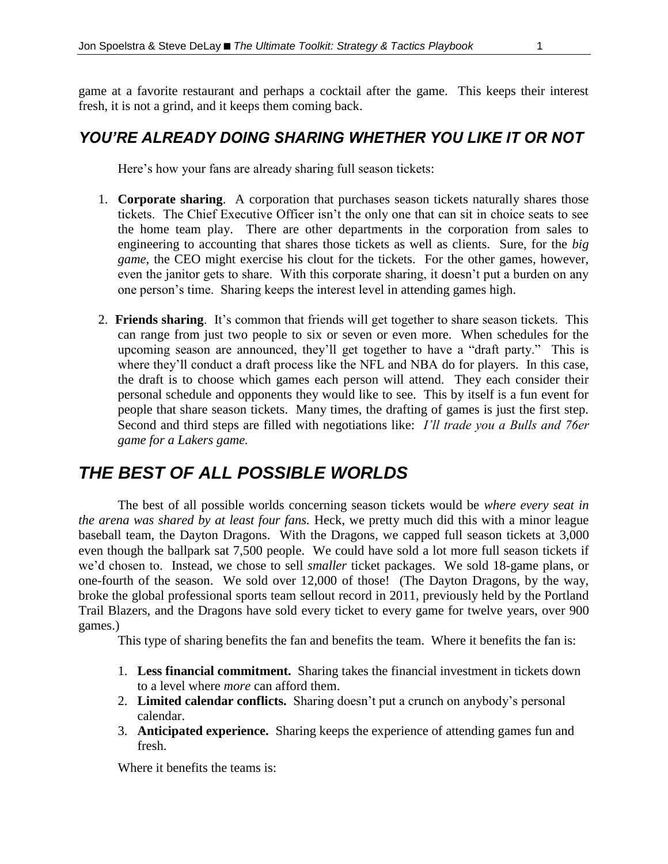game at a favorite restaurant and perhaps a cocktail after the game. This keeps their interest fresh, it is not a grind, and it keeps them coming back.

### *YOU'RE ALREADY DOING SHARING WHETHER YOU LIKE IT OR NOT*

Here's how your fans are already sharing full season tickets:

- 1. **Corporate sharing**. A corporation that purchases season tickets naturally shares those tickets. The Chief Executive Officer isn't the only one that can sit in choice seats to see the home team play. There are other departments in the corporation from sales to engineering to accounting that shares those tickets as well as clients. Sure, for the *big game*, the CEO might exercise his clout for the tickets. For the other games, however, even the janitor gets to share. With this corporate sharing, it doesn't put a burden on any one person's time. Sharing keeps the interest level in attending games high.
- 2. **Friends sharing**. It's common that friends will get together to share season tickets. This can range from just two people to six or seven or even more. When schedules for the upcoming season are announced, they'll get together to have a "draft party." This is where they'll conduct a draft process like the NFL and NBA do for players. In this case, the draft is to choose which games each person will attend. They each consider their personal schedule and opponents they would like to see. This by itself is a fun event for people that share season tickets. Many times, the drafting of games is just the first step. Second and third steps are filled with negotiations like: *I'll trade you a Bulls and 76er game for a Lakers game.*

## *THE BEST OF ALL POSSIBLE WORLDS*

The best of all possible worlds concerning season tickets would be *where every seat in the arena was shared by at least four fans.* Heck, we pretty much did this with a minor league baseball team, the Dayton Dragons. With the Dragons, we capped full season tickets at 3,000 even though the ballpark sat 7,500 people. We could have sold a lot more full season tickets if we'd chosen to. Instead, we chose to sell *smaller* ticket packages. We sold 18-game plans, or one-fourth of the season. We sold over 12,000 of those! (The Dayton Dragons, by the way, broke the global professional sports team sellout record in 2011, previously held by the Portland Trail Blazers, and the Dragons have sold every ticket to every game for twelve years, over 900 games.)

This type of sharing benefits the fan and benefits the team. Where it benefits the fan is:

- 1. **Less financial commitment.** Sharing takes the financial investment in tickets down to a level where *more* can afford them.
- 2. **Limited calendar conflicts.** Sharing doesn't put a crunch on anybody's personal calendar.
- 3. **Anticipated experience.** Sharing keeps the experience of attending games fun and fresh.

Where it benefits the teams is: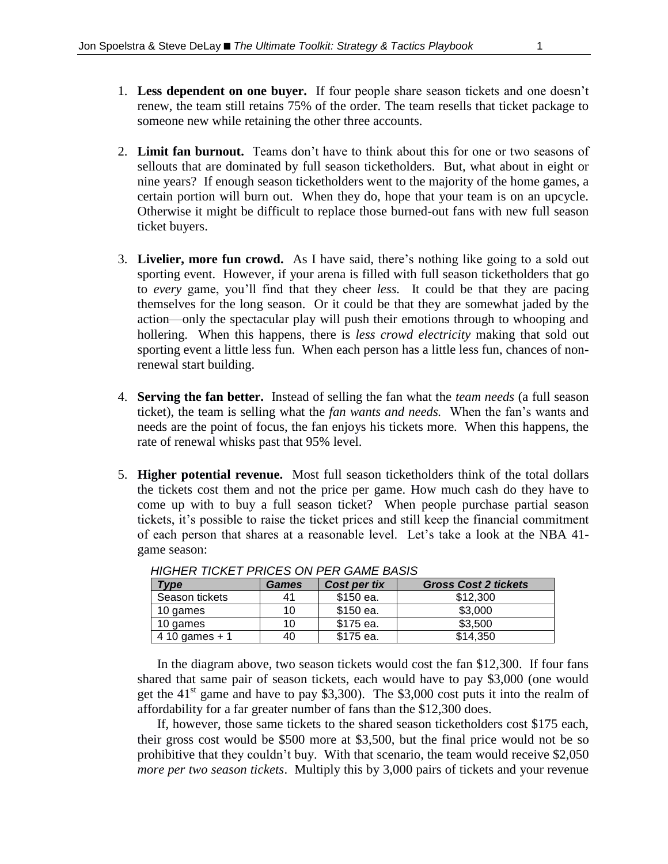- 1. **Less dependent on one buyer.** If four people share season tickets and one doesn't renew, the team still retains 75% of the order. The team resells that ticket package to someone new while retaining the other three accounts.
- 2. **Limit fan burnout.** Teams don't have to think about this for one or two seasons of sellouts that are dominated by full season ticketholders. But, what about in eight or nine years? If enough season ticketholders went to the majority of the home games, a certain portion will burn out. When they do, hope that your team is on an upcycle. Otherwise it might be difficult to replace those burned-out fans with new full season ticket buyers.
- 3. **Livelier, more fun crowd.** As I have said, there's nothing like going to a sold out sporting event. However, if your arena is filled with full season ticketholders that go to *every* game, you'll find that they cheer *less.* It could be that they are pacing themselves for the long season. Or it could be that they are somewhat jaded by the action—only the spectacular play will push their emotions through to whooping and hollering. When this happens, there is *less crowd electricity* making that sold out sporting event a little less fun. When each person has a little less fun, chances of nonrenewal start building.
- 4. **Serving the fan better.** Instead of selling the fan what the *team needs* (a full season ticket), the team is selling what the *fan wants and needs.* When the fan's wants and needs are the point of focus, the fan enjoys his tickets more. When this happens, the rate of renewal whisks past that 95% level.
- 5. **Higher potential revenue.** Most full season ticketholders think of the total dollars the tickets cost them and not the price per game. How much cash do they have to come up with to buy a full season ticket? When people purchase partial season tickets, it's possible to raise the ticket prices and still keep the financial commitment of each person that shares at a reasonable level. Let's take a look at the NBA 41 game season:

| Tvpe            | <b>Games</b> | Cost per tix | <b>Gross Cost 2 tickets</b> |
|-----------------|--------------|--------------|-----------------------------|
| Season tickets  | 41           | \$150 ea.    | \$12,300                    |
| 10 games        | 10           | \$150 ea.    | \$3,000                     |
| 10 games        | 10           | \$175 ea.    | \$3.500                     |
| 4 10 games $+1$ | 40           | \$175 ea.    | \$14,350                    |

*HIGHER TICKET PRICES ON PER GAME BASIS*

In the diagram above, two season tickets would cost the fan \$12,300. If four fans shared that same pair of season tickets, each would have to pay \$3,000 (one would get the  $41<sup>st</sup>$  game and have to pay \$3,300). The \$3,000 cost puts it into the realm of affordability for a far greater number of fans than the \$12,300 does.

If, however, those same tickets to the shared season ticketholders cost \$175 each, their gross cost would be \$500 more at \$3,500, but the final price would not be so prohibitive that they couldn't buy. With that scenario, the team would receive \$2,050 *more per two season tickets*. Multiply this by 3,000 pairs of tickets and your revenue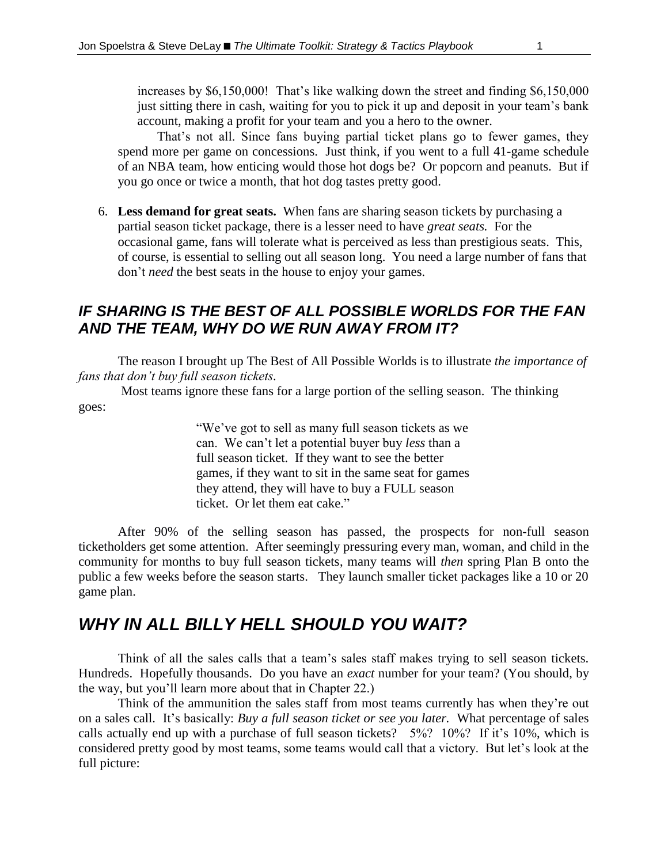increases by \$6,150,000! That's like walking down the street and finding \$6,150,000 just sitting there in cash, waiting for you to pick it up and deposit in your team's bank account, making a profit for your team and you a hero to the owner.

That's not all. Since fans buying partial ticket plans go to fewer games, they spend more per game on concessions. Just think, if you went to a full 41-game schedule of an NBA team, how enticing would those hot dogs be? Or popcorn and peanuts. But if you go once or twice a month, that hot dog tastes pretty good.

6. **Less demand for great seats.** When fans are sharing season tickets by purchasing a partial season ticket package, there is a lesser need to have *great seats.* For the occasional game, fans will tolerate what is perceived as less than prestigious seats. This, of course, is essential to selling out all season long. You need a large number of fans that don't *need* the best seats in the house to enjoy your games.

#### *IF SHARING IS THE BEST OF ALL POSSIBLE WORLDS FOR THE FAN AND THE TEAM, WHY DO WE RUN AWAY FROM IT?*

The reason I brought up The Best of All Possible Worlds is to illustrate *the importance of fans that don't buy full season tickets.*

Most teams ignore these fans for a large portion of the selling season. The thinking goes:

> "We've got to sell as many full season tickets as we can. We can't let a potential buyer buy *less* than a full season ticket. If they want to see the better games, if they want to sit in the same seat for games they attend, they will have to buy a FULL season ticket. Or let them eat cake."

After 90% of the selling season has passed, the prospects for non-full season ticketholders get some attention. After seemingly pressuring every man, woman, and child in the community for months to buy full season tickets, many teams will *then* spring Plan B onto the public a few weeks before the season starts. They launch smaller ticket packages like a 10 or 20 game plan.

## *WHY IN ALL BILLY HELL SHOULD YOU WAIT?*

Think of all the sales calls that a team's sales staff makes trying to sell season tickets. Hundreds. Hopefully thousands. Do you have an *exact* number for your team? (You should, by the way, but you'll learn more about that in Chapter 22.)

Think of the ammunition the sales staff from most teams currently has when they're out on a sales call. It's basically: *Buy a full season ticket or see you later.* What percentage of sales calls actually end up with a purchase of full season tickets? 5%? 10%? If it's 10%, which is considered pretty good by most teams, some teams would call that a victory. But let's look at the full picture: